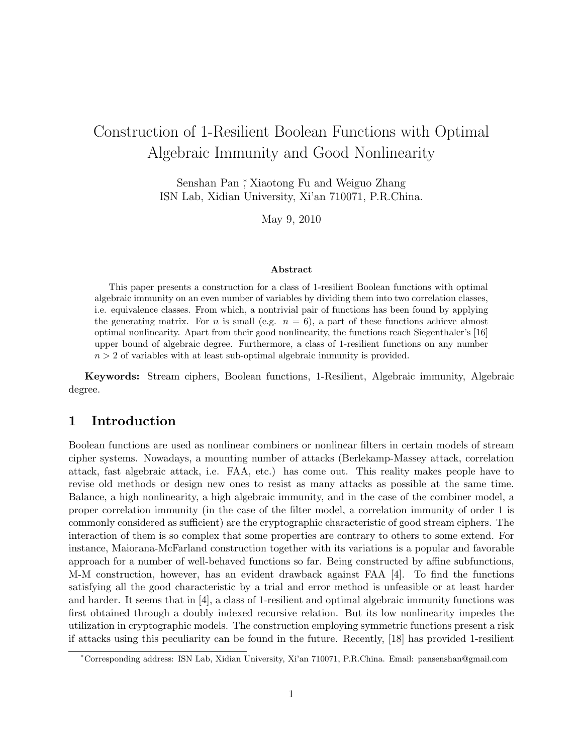# Construction of 1-Resilient Boolean Functions with Optimal Algebraic Immunity and Good Nonlinearity

Senshan Pan *<sup>∗</sup>* , Xiaotong Fu and Weiguo Zhang ISN Lab, Xidian University, Xi'an 710071, P.R.China.

May 9, 2010

### **Abstract**

This paper presents a construction for a class of 1-resilient Boolean functions with optimal algebraic immunity on an even number of variables by dividing them into two correlation classes, i.e. equivalence classes. From which, a nontrivial pair of functions has been found by applying the generating matrix. For *n* is small (e.g.  $n = 6$ ), a part of these functions achieve almost optimal nonlinearity. Apart from their good nonlinearity, the functions reach Siegenthaler's [16] upper bound of algebraic degree. Furthermore, a class of 1-resilient functions on any number  $n > 2$  of variables with at least sub-optimal algebraic immunity is provided.

**Keywords:** Stream ciphers, Boolean functions, 1-Resilient, Algebraic immunity, Algebraic degree.

## **1 Introduction**

Boolean functions are used as nonlinear combiners or nonlinear filters in certain models of stream cipher systems. Nowadays, a mounting number of attacks (Berlekamp-Massey attack, correlation attack, fast algebraic attack, i.e. FAA, etc.) has come out. This reality makes people have to revise old methods or design new ones to resist as many attacks as possible at the same time. Balance, a high nonlinearity, a high algebraic immunity, and in the case of the combiner model, a proper correlation immunity (in the case of the filter model, a correlation immunity of order 1 is commonly considered as sufficient) are the cryptographic characteristic of good stream ciphers. The interaction of them is so complex that some properties are contrary to others to some extend. For instance, Maiorana-McFarland construction together with its variations is a popular and favorable approach for a number of well-behaved functions so far. Being constructed by affine subfunctions, M-M construction, however, has an evident drawback against FAA [4]. To find the functions satisfying all the good characteristic by a trial and error method is unfeasible or at least harder and harder. It seems that in [4], a class of 1-resilient and optimal algebraic immunity functions was first obtained through a doubly indexed recursive relation. But its low nonlinearity impedes the utilization in cryptographic models. The construction employing symmetric functions present a risk if attacks using this peculiarity can be found in the future. Recently, [18] has provided 1-resilient

*<sup>∗</sup>*Corresponding address: ISN Lab, Xidian University, Xi'an 710071, P.R.China. Email: pansenshan@gmail.com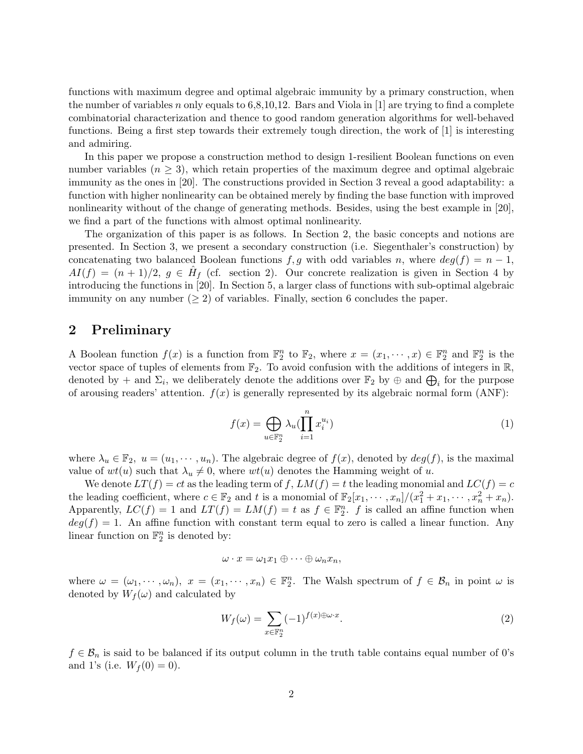functions with maximum degree and optimal algebraic immunity by a primary construction, when the number of variables *n* only equals to  $6,8,10,12$ . Bars and Viola in [1] are trying to find a complete combinatorial characterization and thence to good random generation algorithms for well-behaved functions. Being a first step towards their extremely tough direction, the work of [1] is interesting and admiring.

In this paper we propose a construction method to design 1-resilient Boolean functions on even number variables  $(n \geq 3)$ , which retain properties of the maximum degree and optimal algebraic immunity as the ones in [20]. The constructions provided in Section 3 reveal a good adaptability: a function with higher nonlinearity can be obtained merely by finding the base function with improved nonlinearity without of the change of generating methods. Besides, using the best example in [20], we find a part of the functions with almost optimal nonlinearity.

The organization of this paper is as follows. In Section 2, the basic concepts and notions are presented. In Section 3, we present a secondary construction (i.e. Siegenthaler's construction) by concatenating two balanced Boolean functions  $f, g$  with odd variables  $n$ , where  $deg(f) = n - 1$ ,  $AI(f) = (n+1)/2, g \in \hat{H}_f$  (cf. section 2). Our concrete realization is given in Section 4 by introducing the functions in [20]. In Section 5, a larger class of functions with sub-optimal algebraic immunity on any number  $(\geq 2)$  of variables. Finally, section 6 concludes the paper.

## **2 Preliminary**

A Boolean function  $f(x)$  is a function from  $\mathbb{F}_2^n$  to  $\mathbb{F}_2$ , where  $x = (x_1, \dots, x) \in \mathbb{F}_2^n$  and  $\mathbb{F}_2^n$  is the vector space of tuples of elements from  $\mathbb{F}_2$ . To avoid confusion with the additions of integers in  $\mathbb{R}$ , denoted by  $+$  and  $\Sigma_i$ , we deliberately denote the additions over  $\mathbb{F}_2$  by  $\oplus$  and  $\bigoplus_i$  for the purpose of arousing readers' attention.  $f(x)$  is generally represented by its algebraic normal form  $(ANF)$ :

$$
f(x) = \bigoplus_{u \in \mathbb{F}_2^n} \lambda_u(\prod_{i=1}^n x_i^{u_i})
$$
\n(1)

where  $\lambda_u \in \mathbb{F}_2$ ,  $u = (u_1, \dots, u_n)$ . The algebraic degree of  $f(x)$ , denoted by  $deg(f)$ , is the maximal value of  $wt(u)$  such that  $\lambda_u \neq 0$ , where  $wt(u)$  denotes the Hamming weight of *u*.

We denote  $LT(f) = ct$  as the leading term of f,  $LM(f) = t$  the leading monomial and  $LC(f) = c$ the leading coefficient, where  $c \in \mathbb{F}_2$  and t is a monomial of  $\mathbb{F}_2[x_1, \dots, x_n]/(x_1^2 + x_1, \dots, x_n^2 + x_n)$ . Apparently,  $LC(f) = 1$  and  $LT(f) = LM(f) = t$  as  $f \in \mathbb{F}_2^n$ . *f* is called an affine function when  $deg(f) = 1$ . An affine function with constant term equal to zero is called a linear function. Any linear function on  $\mathbb{F}_2^n$  is denoted by:

$$
\omega\cdot x=\omega_1x_1\oplus\cdots\oplus\omega_nx_n,
$$

where  $\omega = (\omega_1, \dots, \omega_n)$ ,  $x = (x_1, \dots, x_n) \in \mathbb{F}_2^n$ . The Walsh spectrum of  $f \in \mathcal{B}_n$  in point  $\omega$  is denoted by  $W_f(\omega)$  and calculated by

$$
W_f(\omega) = \sum_{x \in \mathbb{F}_2^n} (-1)^{f(x) \oplus \omega \cdot x}.
$$
 (2)

 $f \in \mathcal{B}_n$  is said to be balanced if its output column in the truth table contains equal number of 0's and 1's (i.e.  $W_f(0) = 0$ ).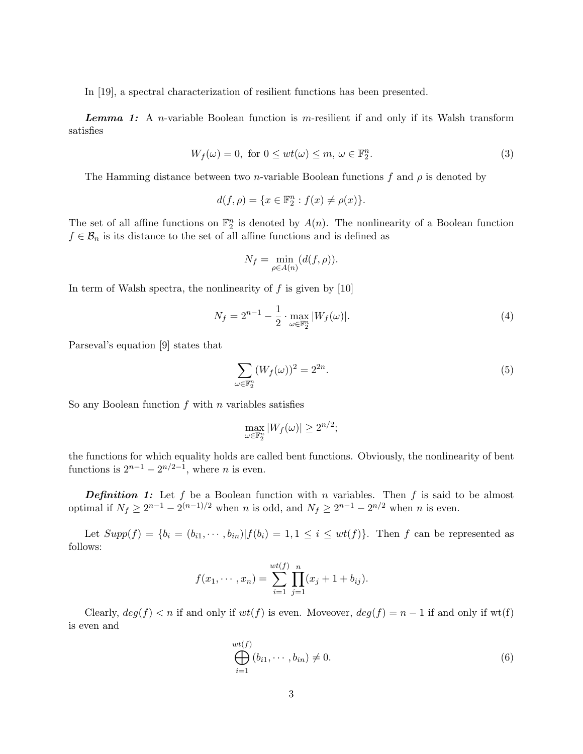In [19], a spectral characterization of resilient functions has been presented.

*Lemma 1:* A *n*-variable Boolean function is *m*-resilient if and only if its Walsh transform satisfies

$$
W_f(\omega) = 0, \text{ for } 0 \le wt(\omega) \le m, \omega \in \mathbb{F}_2^n. \tag{3}
$$

The Hamming distance between two *n*-variable Boolean functions  $f$  and  $\rho$  is denoted by

$$
d(f,\rho) = \{x \in \mathbb{F}_2^n : f(x) \neq \rho(x)\}.
$$

The set of all affine functions on  $\mathbb{F}_2^n$  is denoted by  $A(n)$ . The nonlinearity of a Boolean function  $f \in \mathcal{B}_n$  is its distance to the set of all affine functions and is defined as

$$
N_f = \min_{\rho \in A(n)} (d(f, \rho)).
$$

In term of Walsh spectra, the nonlinearity of *f* is given by [10]

$$
N_f = 2^{n-1} - \frac{1}{2} \cdot \max_{\omega \in \mathbb{F}_2^n} |W_f(\omega)|.
$$
 (4)

Parseval's equation [9] states that

$$
\sum_{\omega \in \mathbb{F}_2^n} (W_f(\omega))^2 = 2^{2n}.\tag{5}
$$

So any Boolean function *f* with *n* variables satisfies

$$
\max_{\omega \in \mathbb{F}_2^n} |W_f(\omega)| \ge 2^{n/2};
$$

the functions for which equality holds are called bent functions. Obviously, the nonlinearity of bent functions is  $2^{n-1} - 2^{n/2-1}$ , where *n* is even.

**Definition 1:** Let f be a Boolean function with *n* variables. Then f is said to be almost optimal if  $N_f \geq 2^{n-1} - 2^{(n-1)/2}$  when *n* is odd, and  $N_f \geq 2^{n-1} - 2^{n/2}$  when *n* is even.

Let  $Supp(f) = \{b_i = (b_{i1}, \dots, b_{in}) | f(b_i) = 1, 1 \le i \le wt(f)\}\$ . Then f can be represented as follows:

$$
f(x_1, \dots, x_n) = \sum_{i=1}^{wt(f)} \prod_{j=1}^n (x_j + 1 + b_{ij}).
$$

Clearly,  $deg(f) < n$  if and only if  $wt(f)$  is even. Moveover,  $deg(f) = n - 1$  if and only if wt(f) is even and

$$
\bigoplus_{i=1}^{wt(f)} (b_{i1}, \cdots, b_{in}) \neq 0. \tag{6}
$$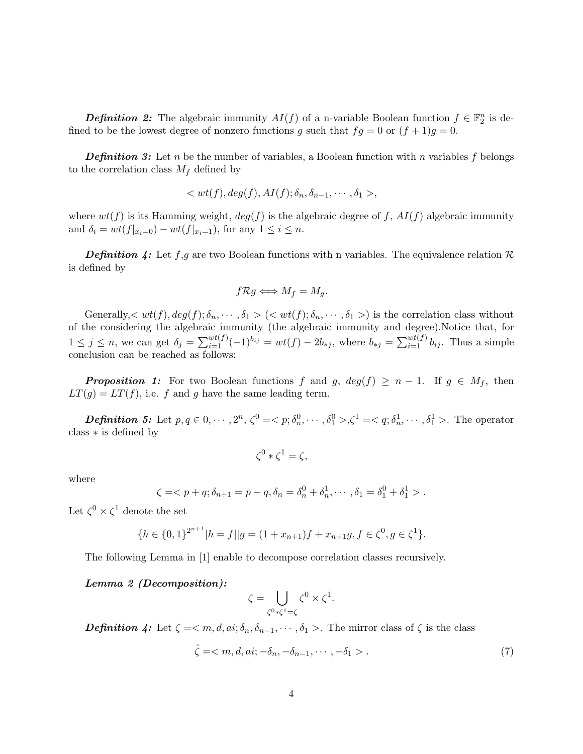*Definition 2:* The algebraic immunity  $AI(f)$  of a n-variable Boolean function  $f \in \mathbb{F}_2^n$  is defined to be the lowest degree of nonzero functions *g* such that  $fg = 0$  or  $(f + 1)g = 0$ .

*Definition 3:* Let *n* be the number of variables, a Boolean function with *n* variables *f* belongs to the correlation class  $M_f$  defined by

$$
\langle wt(f), deg(f), AI(f); \delta_n, \delta_{n-1}, \cdots, \delta_1 \rangle,
$$

where  $wt(f)$  is its Hamming weight,  $deg(f)$  is the algebraic degree of f,  $AI(f)$  algebraic immunity and  $\delta_i = wt(f|_{x_i=0}) - wt(f|_{x_i=1})$ , for any  $1 \leq i \leq n$ .

*Definition 4:* Let *f*,*g* are two Boolean functions with n variables. The equivalence relation *R* is defined by

$$
f\mathcal{R}g \Longleftrightarrow M_f = M_g.
$$

Generally,  $\langle wt(f), deg(f); \delta_n, \cdots, \delta_1 \rangle$   $(< wt(f); \delta_n, \cdots, \delta_1 \rangle$  is the correlation class without of the considering the algebraic immunity (the algebraic immunity and degree).Notice that, for  $1 \le j \le n$ , we can get  $\delta_j = \sum_{i=1}^{wt(f)} (-1)^{b_{ij}} = wt(f) - 2b_{*j}$ , where  $b_{*j} = \sum_{i=1}^{wt(f)} b_{ij}$ . Thus a simple conclusion can be reached as follows:

*Proposition 1:* For two Boolean functions *f* and *g*,  $deg(f) \geq n-1$ . If  $g \in M_f$ , then  $LT(g) = LT(f)$ , i.e. *f* and *g* have the same leading term.

**Definition 5:** Let  $p, q \in 0, \dots, 2^n, \zeta^0 = \langle p; \delta_n^0, \dots, \delta_1^0 \rangle, \zeta^1 = \langle q; \delta_n^1, \dots, \delta_1^1 \rangle$ . The operator class *∗* is defined by

$$
\zeta^0 * \zeta^1 = \zeta,
$$

where

$$
\zeta = \langle p + q; \delta_{n+1} = p - q, \delta_n = \delta_n^0 + \delta_n^1, \cdots, \delta_1 = \delta_1^0 + \delta_1^1 \rangle.
$$

Let  $\zeta^0 \times \zeta^1$  denote the set

$$
\{h \in \{0,1\}^{2^{n+1}} | h = f || g = (1 + x_{n+1})f + x_{n+1}g, f \in \zeta^0, g \in \zeta^1\}.
$$

The following Lemma in [1] enable to decompose correlation classes recursively.

#### *Lemma 2 (Decomposition):*

$$
\zeta = \bigcup_{\zeta^0 * \zeta^1 = \zeta} \zeta^0 \times \zeta^1.
$$

*Definition 4:* Let  $\zeta = \langle m, d, ai; \delta_n, \delta_{n-1}, \cdots, \delta_1 \rangle$ . The mirror class of  $\zeta$  is the class

$$
\hat{\zeta} = \langle m, d, ai; -\delta_n, -\delta_{n-1}, \cdots, -\delta_1 \rangle. \tag{7}
$$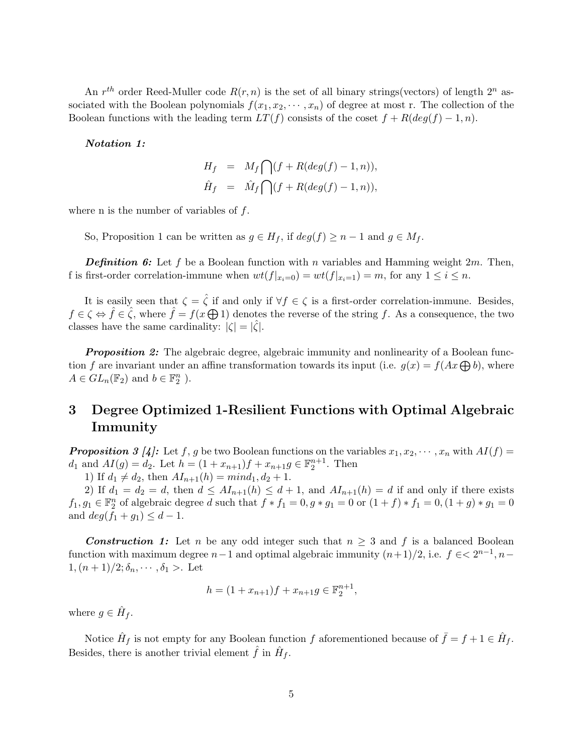An  $r^{th}$  order Reed-Muller code  $R(r, n)$  is the set of all binary strings(vectors) of length  $2^n$  associated with the Boolean polynomials  $f(x_1, x_2, \dots, x_n)$  of degree at most r. The collection of the Boolean functions with the leading term  $LT(f)$  consists of the coset  $f + R(deg(f) - 1, n)$ .

### *Notation 1:*

$$
H_f = M_f \bigcap (f + R(deg(f) - 1, n)),
$$
  

$$
\hat{H}_f = \hat{M}_f \bigcap (f + R(deg(f) - 1, n)),
$$

where n is the number of variables of *f*.

So, Proposition 1 can be written as  $g \in H_f$ , if  $deg(f) \geq n-1$  and  $g \in M_f$ .

*Definition 6:* Let *f* be a Boolean function with *n* variables and Hamming weight 2*m*. Then, f is first-order correlation-immune when  $wt(f|_{x_i=0}) = wt(f|_{x_i=1}) = m$ , for any  $1 \leq i \leq n$ .

It is easily seen that  $\zeta = \hat{\zeta}$  if and only if  $\forall f \in \zeta$  is a first-order correlation-immune. Besides,  $f \in \zeta \Leftrightarrow \hat{f} \in \hat{\zeta}$ , where  $\hat{f} = f(x \bigoplus 1)$  denotes the reverse of the string *f*. As a consequence, the two classes have the same cardinality:  $|\zeta| = |\hat{\zeta}|$ .

*Proposition 2:* The algebraic degree, algebraic immunity and nonlinearity of a Boolean function *f* are invariant under an affine transformation towards its input (i.e.  $g(x) = f(Ax \bigoplus b)$ , where  $A \in GL_n(\mathbb{F}_2)$  and  $b \in \mathbb{F}_2^n$ ).

## **3 Degree Optimized 1-Resilient Functions with Optimal Algebraic Immunity**

*Proposition 3 [4]:* Let *f*, *g* be two Boolean functions on the variables  $x_1, x_2, \dots, x_n$  with  $AI(f)$  = *d*<sub>1</sub> and  $AI(g) = d_2$ . Let  $h = (1 + x_{n+1})f + x_{n+1}g \in \mathbb{F}_2^{n+1}$ . Then

1) If  $d_1 \neq d_2$ , then  $AI_{n+1}(h) = mind_1, d_2 + 1$ .

2) If  $d_1 = d_2 = d$ , then  $d \leq AI_{n+1}(h) \leq d+1$ , and  $AI_{n+1}(h) = d$  if and only if there exists  $f_1, g_1 \in \mathbb{F}_2^n$  of algebraic degree d such that  $f * f_1 = 0, g * g_1 = 0$  or  $(1 + f) * f_1 = 0, (1 + g) * g_1 = 0$ and  $deg(f_1 + g_1) \leq d - 1$ .

*Construction 1:* Let *n* be any odd integer such that  $n \geq 3$  and f is a balanced Boolean function with maximum degree  $n-1$  and optimal algebraic immunity  $(n+1)/2$ , i.e.  $f \in \lt 2^{n-1}, n-1$ 1*,*( $n + 1$ )/2;  $\delta_n$ ,  $\cdots$ ,  $\delta_1$  >. Let

$$
h = (1 + x_{n+1})f + x_{n+1}g \in \mathbb{F}_2^{n+1},
$$

where  $g \in \hat{H}_f$ .

Notice  $\hat{H}_f$  is not empty for any Boolean function  $f$  aforementioned because of  $\bar{f} = f + 1 \in \hat{H}_f$ . Besides, there is another trivial element  $\hat{f}$  in  $\hat{H}_f$ .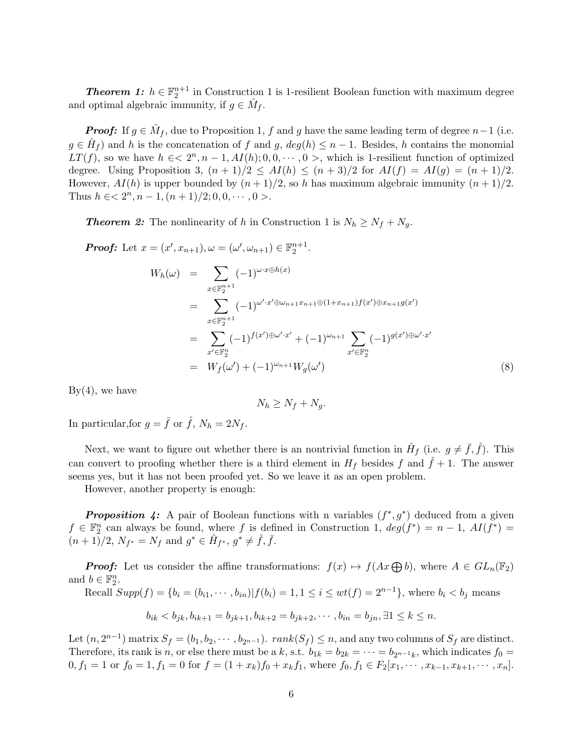**Theorem 1:**  $h \in \mathbb{F}_2^{n+1}$  in Construction 1 is 1-resilient Boolean function with maximum degree and optimal algebraic immunity, if  $g \in \hat{M}_f$ .

*Proof:* If  $g \in \hat{M}_f$ , due to Proposition 1, *f* and *g* have the same leading term of degree *n* − 1 (i.e.  $g \in \hat{H}_f$  and *h* is the concatenation of *f* and *g*,  $deg(h) \leq n-1$ . Besides, *h* contains the monomial *LT*(*f*), so we have  $h \in \langle 2^n, n-1, A_I(h); 0, 0, \cdots, 0 \rangle$ , which is 1-resilient function of optimized degree. Using Proposition 3,  $(n + 1)/2 \leq AI(h) \leq (n + 3)/2$  for  $AI(f) = AI(g) = (n + 1)/2$ . However,  $AI(h)$  is upper bounded by  $(n+1)/2$ , so *h* has maximum algebraic immunity  $(n+1)/2$ . Thus  $h \in \mathbb{R}^2$   $\{2^n, n-1, (n+1)/2; 0, 0, \cdots, 0\}$ .

*Theorem 2:* The nonlinearity of *h* in Construction 1 is  $N_h \geq N_f + N_g$ .

Proof: Let 
$$
x = (x', x_{n+1}), \omega = (\omega', \omega_{n+1}) \in \mathbb{F}_2^{n+1}
$$
.  
\n
$$
W_h(\omega) = \sum_{x \in \mathbb{F}_2^{n+1}} (-1)^{\omega \cdot x \oplus h(x)}
$$
\n
$$
= \sum_{x \in \mathbb{F}_2^{n+1}} (-1)^{\omega' \cdot x' \oplus \omega_{n+1} x_{n+1} \oplus (1+x_{n+1}) f(x') \oplus x_{n+1} g(x')}
$$
\n
$$
= \sum_{x' \in \mathbb{F}_2^n} (-1)^{f(x') \oplus \omega' \cdot x'} + (-1)^{\omega_{n+1}} \sum_{x' \in \mathbb{F}_2^n} (-1)^{g(x') \oplus \omega' \cdot x'}
$$
\n
$$
= W_f(\omega') + (-1)^{\omega_{n+1}} W_g(\omega')
$$
\n(8)

 $By(4)$ , we have

$$
N_h \ge N_f + N_g.
$$

In particular, for  $g = \bar{f}$  or  $\hat{f}$ ,  $N_h = 2N_f$ .

Next, we want to figure out whether there is an nontrivial function in  $\hat{H}_f$  (i.e.  $g \neq \bar{f}, \hat{f}$ ). This can convert to proofing whether there is a third element in  $H_f$  besides  $f$  and  $f + 1$ . The answer seems yes, but it has not been proofed yet. So we leave it as an open problem.

However, another property is enough:

*Proposition 4:* A pair of Boolean functions with n variables  $(f^*, g^*)$  deduced from a given  $f \in \mathbb{F}_2^n$  can always be found, where *f* is defined in Construction 1,  $deg(f^*) = n - 1$ ,  $AI(f^*) =$  $(n+1)/2$ ,  $N_{f^*} = N_f$  and  $g^* \in \hat{H}_{f^*}, g^* \neq \hat{f}, \bar{f}.$ 

*Proof:* Let us consider the affine transformations:  $f(x) \mapsto f(Ax \oplus b)$ , where  $A \in GL_n(\mathbb{F}_2)$ and  $b \in \mathbb{F}_2^n$ .

Recall 
$$
Supp(f) = \{b_i = (b_{i1}, \dots, b_{in}) | f(b_i) = 1, 1 \le i \le wt(f) = 2^{n-1}\}\
$$
, where  $b_i < b_j$  means

$$
b_{ik} < b_{jk}, b_{ik+1} = b_{jk+1}, b_{ik+2} = b_{jk+2}, \cdots, b_{in} = b_{jn}, \exists 1 \leq k \leq n.
$$

Let  $(n, 2^{n-1})$  matrix  $S_f = (b_1, b_2, \dots, b_{2^{n-1}})$ .  $rank(S_f) \leq n$ , and any two columns of  $S_f$  are distinct. Therefore, its rank is *n*, or else there must be a *k*, s.t.  $b_{1k} = b_{2k} = \cdots = b_{2^{n-1}k}$ , which indicates  $f_0 =$  $0, f_1 = 1$  or  $f_0 = 1, f_1 = 0$  for  $f = (1 + x_k)f_0 + x_kf_1$ , where  $f_0, f_1 \in F_2[x_1, \dots, x_{k-1}, x_{k+1}, \dots, x_n]$ .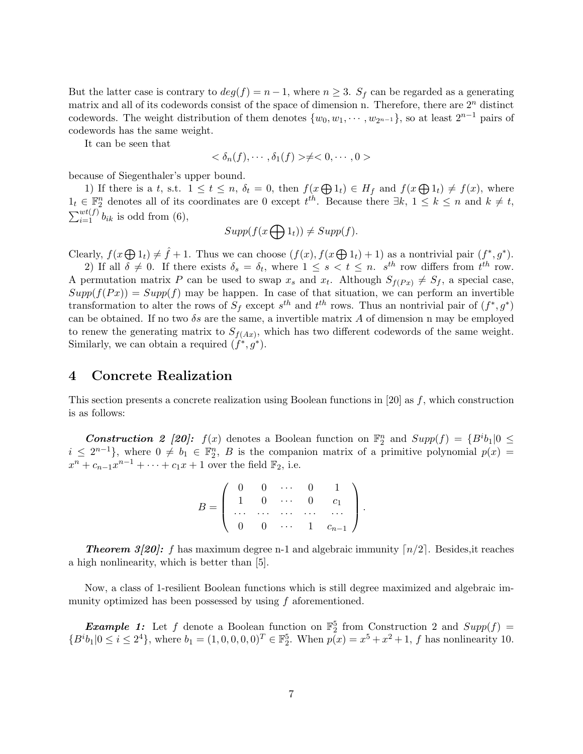But the latter case is contrary to  $deg(f) = n - 1$ , where  $n \geq 3$ .  $S_f$  can be regarded as a generating matrix and all of its codewords consist of the space of dimension n. Therefore, there are 2*<sup>n</sup>* distinct codewords. The weight distribution of them denotes  $\{w_0, w_1, \dots, w_{2^{n-1}}\}$ , so at least  $2^{n-1}$  pairs of codewords has the same weight.

It can be seen that

$$
\langle \delta_n(f), \cdots, \delta_1(f) \rangle \neq \langle 0, \cdots, 0 \rangle
$$

because of Siegenthaler's upper bound.

1) If there is a *t*, s.t.  $1 \le t \le n$ ,  $\delta_t = 0$ , then  $f(x \bigoplus 1_t) \in H_f$  and  $f(x \bigoplus 1_t) \ne f(x)$ , where  $1<sup>t</sup>$   $∈$   $\mathbb{F}_2^n$  denotes all of its coordinates are 0 except  $t<sup>th</sup>$ . Because there  $\exists k$ ,  $1 \leq k \leq n$  and  $k \neq t$ ,  $\sum_{i=1}^{wt(f)} b_{ik}$  is odd from (6),

$$
Supp(f(x \bigoplus 1_t)) \neq Supp(f).
$$

Clearly,  $f(x \oplus 1_t) \neq \hat{f} + 1$ . Thus we can choose  $(f(x), f(x \oplus 1_t) + 1)$  as a nontrivial pair  $(f^*, g^*)$ .

2) If all  $\delta \neq 0$ . If there exists  $\delta_s = \delta_t$ , where  $1 \leq s < t \leq n$ .  $s^{th}$  row differs from  $t^{th}$  row. A permutation matrix P can be used to swap  $x_s$  and  $x_t$ . Although  $S_{f(Px)} \neq S_f$ , a special case,  $Supp(f(Px)) = Supp(f)$  may be happen. In case of that situation, we can perform an invertible transformation to alter the rows of  $S_f$  except  $s^{th}$  and  $t^{th}$  rows. Thus an nontrivial pair of  $(f^*, g^*)$ can be obtained. If no two  $\delta s$  are the same, a invertible matrix  $A$  of dimension n may be employed to renew the generating matrix to  $S_{f(Ax)}$ , which has two different codewords of the same weight. Similarly, we can obtain a required  $(f^*, g^*)$ .

## **4 Concrete Realization**

This section presents a concrete realization using Boolean functions in [20] as *f*, which construction is as follows:

*Construction 2 [20]:*  $f(x)$  denotes a Boolean function on  $\mathbb{F}_2^n$  and  $Supp(f) = {B^i b_1} \mid 0 \le$  $i \leq 2^{n-1}$ , where  $0 \neq b_1 \in \mathbb{F}_2^n$ , *B* is the companion matrix of a primitive polynomial  $p(x) =$  $x^n + c_{n-1}x^{n-1} + \cdots + c_1x + 1$  over the field  $\mathbb{F}_2$ , i.e.

| $B =$ |  |  | $\left( \begin{array}{cccccc} 0 & 0 & \cdots & 0 \ 1 & 0 & \cdots & 0 & c_1 \ \cdots & \cdots & \cdots & \cdots & \cdots \ 0 & 0 & \cdots & 1 & c_{n-1} \end{array} \right)$ |  |
|-------|--|--|------------------------------------------------------------------------------------------------------------------------------------------------------------------------------|--|
|       |  |  |                                                                                                                                                                              |  |
|       |  |  |                                                                                                                                                                              |  |

**Theorem 3[20]:**  $f$  has maximum degree n-1 and algebraic immunity  $\lceil n/2 \rceil$ . Besides, it reaches a high nonlinearity, which is better than [5].

Now, a class of 1-resilient Boolean functions which is still degree maximized and algebraic immunity optimized has been possessed by using *f* aforementioned.

*Example 1:* Let *f* denote a Boolean function on  $\mathbb{F}_2^5$  from Construction 2 and  $Supp(f)$  =  ${B^i b_1 | 0 \le i \le 2^4}$ , where  $b_1 = (1, 0, 0, 0, 0)^T \in \mathbb{F}_2^5$ . When  $p(x) = x^5 + x^2 + 1$ , f has nonlinearity 10.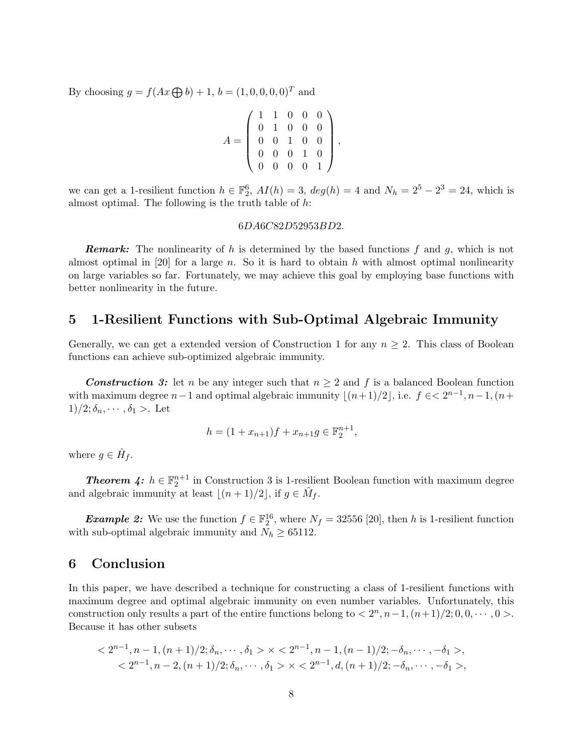By choosing  $g = f(Ax \bigoplus b) + 1$ ,  $b = (1, 0, 0, 0, 0)^T$  and

$$
A = \left(\begin{array}{cccc} 1 & 1 & 0 & 0 & 0 \\ 0 & 1 & 0 & 0 & 0 \\ 0 & 0 & 1 & 0 & 0 \\ 0 & 0 & 0 & 1 & 0 \\ 0 & 0 & 0 & 0 & 1 \end{array}\right),
$$

we can get a 1-resilient function  $h \in \mathbb{F}_2^6$ ,  $AI(h) = 3$ ,  $deg(h) = 4$  and  $N_h = 2^5 - 2^3 = 24$ , which is almost optimal. The following is the truth table of *h*:

### 6*DA*6*C*82*D*52953*BD*2*.*

*Remark:* The nonlinearity of *h* is determined by the based functions *f* and *g*, which is not almost optimal in [20] for a large *n*. So it is hard to obtain *h* with almost optimal nonlinearity on large variables so far. Fortunately, we may achieve this goal by employing base functions with better nonlinearity in the future.

## **5 1-Resilient Functions with Sub-Optimal Algebraic Immunity**

Generally, we can get a extended version of Construction 1 for any  $n \geq 2$ . This class of Boolean functions can achieve sub-optimized algebraic immunity.

*Construction 3:* let *n* be any integer such that  $n \geq 2$  and f is a balanced Boolean function with maximum degree  $n-1$  and optimal algebraic immunity  $\lfloor (n+1)/2 \rfloor$ , i.e.  $f \in \leq 2^{n-1}, n-1, (n+1)/2$  $1)/2$ ;  $\delta_n$ ,  $\cdots$ ,  $\delta_1$  >. Let

$$
h = (1 + x_{n+1})f + x_{n+1}g \in \mathbb{F}_2^{n+1},
$$

where  $g \in \hat{H}_f$ .

**Theorem 4:**  $h \in \mathbb{F}_2^{n+1}$  in Construction 3 is 1-resilient Boolean function with maximum degree and algebraic immunity at least  $\lfloor (n+1)/2 \rfloor$ , if  $g \in \hat{M}_f$ .

*Example 2:* We use the function  $f \in \mathbb{F}_2^{16}$ , where  $N_f = 32556$  [20], then *h* is 1-resilient function with sub-optimal algebraic immunity and  $N_h \geq 65112$ .

### **6 Conclusion**

In this paper, we have described a technique for constructing a class of 1-resilient functions with maximum degree and optimal algebraic immunity on even number variables. Unfortunately, this construction only results a part of the entire functions belong to  $\langle 2^n, n-1, (n+1)/2; 0, 0, \cdots, 0 \rangle$ . Because it has other subsets

$$
< 2^{n-1}, n-1, (n+1)/2; \delta_n, \cdots, \delta_1 > \varkappa < 2^{n-1}, n-1, (n-1)/2; -\delta_n, \cdots, -\delta_1 > , < 2^{n-1}, n-2, (n+1)/2; \delta_n, \cdots, \delta_1 > \varkappa < 2^{n-1}, d, (n+1)/2; -\delta_n, \cdots, -\delta_1 > ,
$$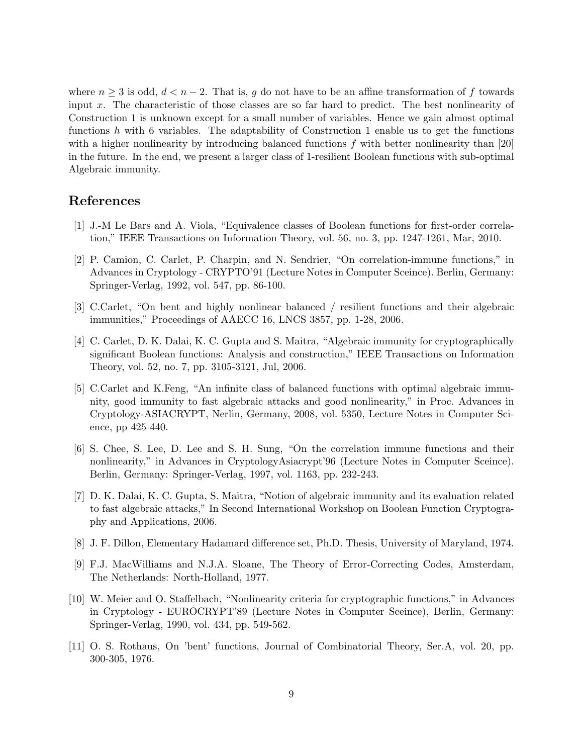where  $n \geq 3$  is odd,  $d < n-2$ . That is, g do not have to be an affine transformation of f towards input *x*. The characteristic of those classes are so far hard to predict. The best nonlinearity of Construction 1 is unknown except for a small number of variables. Hence we gain almost optimal functions *h* with 6 variables. The adaptability of Construction 1 enable us to get the functions with a higher nonlinearity by introducing balanced functions f with better nonlinearity than [20] in the future. In the end, we present a larger class of 1-resilient Boolean functions with sub-optimal Algebraic immunity.

## **References**

- [1] J.-M Le Bars and A. Viola, "Equivalence classes of Boolean functions for first-order correlation," IEEE Transactions on Information Theory, vol. 56, no. 3, pp. 1247-1261, Mar, 2010.
- [2] P. Camion, C. Carlet, P. Charpin, and N. Sendrier, "On correlation-immune functions," in Advances in Cryptology - CRYPTO'91 (Lecture Notes in Computer Sceince). Berlin, Germany: Springer-Verlag, 1992, vol. 547, pp. 86-100.
- [3] C.Carlet, "On bent and highly nonlinear balanced / resilient functions and their algebraic immunities," Proceedings of AAECC 16, LNCS 3857, pp. 1-28, 2006.
- [4] C. Carlet, D. K. Dalai, K. C. Gupta and S. Maitra, "Algebraic immunity for cryptographically significant Boolean functions: Analysis and construction," IEEE Transactions on Information Theory, vol. 52, no. 7, pp. 3105-3121, Jul, 2006.
- [5] C.Carlet and K.Feng, "An infinite class of balanced functions with optimal algebraic immunity, good immunity to fast algebraic attacks and good nonlinearity," in Proc. Advances in Cryptology-ASIACRYPT, Nerlin, Germany, 2008, vol. 5350, Lecture Notes in Computer Science, pp 425-440.
- [6] S. Chee, S. Lee, D. Lee and S. H. Sung, "On the correlation immune functions and their nonlinearity," in Advances in CryptologyAsiacrypt'96 (Lecture Notes in Computer Sceince). Berlin, Germany: Springer-Verlag, 1997, vol. 1163, pp. 232-243.
- [7] D. K. Dalai, K. C. Gupta, S. Maitra, "Notion of algebraic immunity and its evaluation related to fast algebraic attacks," In Second International Workshop on Boolean Function Cryptography and Applications, 2006.
- [8] J. F. Dillon, Elementary Hadamard difference set, Ph.D. Thesis, University of Maryland, 1974.
- [9] F.J. MacWilliams and N.J.A. Sloane, The Theory of Error-Correcting Codes, Amsterdam, The Netherlands: North-Holland, 1977.
- [10] W. Meier and O. Staffelbach, "Nonlinearity criteria for cryptographic functions," in Advances in Cryptology - EUROCRYPT'89 (Lecture Notes in Computer Sceince), Berlin, Germany: Springer-Verlag, 1990, vol. 434, pp. 549-562.
- [11] O. S. Rothaus, On 'bent' functions, Journal of Combinatorial Theory, Ser.A, vol. 20, pp. 300-305, 1976.